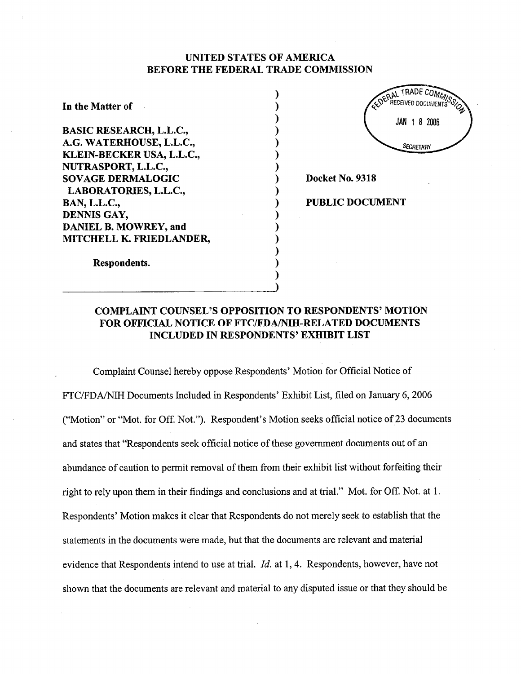# UNITED STATES OF AMERICA BEFORE THE FEDERAL TRADE COMMISSION

) ) ) ) ) ) ) ) ) ) ) ) ) ) ) ) )

In the Matter of . BASIC RESEARCH, L.L.c., A.G. WATERHOUSE, L.L.C., KLEIN-BECKER USA, L.L.C., NUTRASPORT, L.L.C., SOY AGE DERMALOGIC LABORATORIES, L.L.C., BAN, L.L.C., DENNIS GAY, DANIEL B. MOWREY, and MITCHELL K. FREDLANDER,



Docket No. 9318

PUBLIC DOCUMENT

Respondents.

# COMPLAINT COUNSEL'S OPPOSITION TO RESPONDENTS' MOTION FOR OFFICIAL NOTICE OF FTC/FDA/NIH-RELATED DOCUMENTS INCLUDED IN RESPONDENTS' EXHIBIT LIST

Complaint Counsel hereby oppose Respondents' Motion for Official Notice of FTC/FDA/NIH Documents Included in Respondents' Exhibit List, filed on January 6, 2006 ("Motion" or "Mot. for Off. Not."). Respondent's Motion seeks official notice of 23 documents and states that "Respondents seek official notice of these government documents out of an abundance of caution to permit removal of them from their exhibit list without forfeiting their right to rely upon them in their findings and conclusions and at triaL." Mot. for Off. Not. at 1. Respondents' Motion makes it clear that Respondents do not merely seek to establish that the statements in the documents were made, but that the documents are relevant and material evidence that Respondents intend to use at trial.  $Id.$  at 1, 4. Respondents, however, have not shown that the documents are relevant and material to any disputed issue or that they should be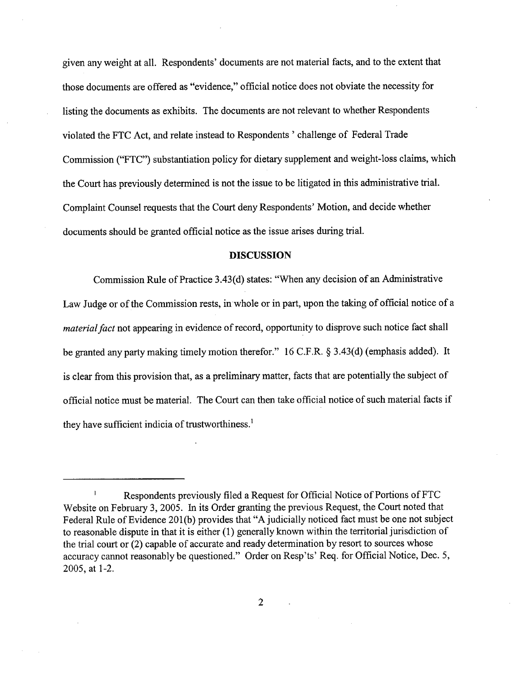given any weight at alL. Respondents' documents are not material facts, and to the extent that those documents are offered as "evidence," official notice does not obviate the necessity for listing the documents as exhibits. The documents are not relevant to whether Respondents violated the FTC Act, and relate instead to Respondents' challenge of Federal Trade Commission ("FTC") substantiation policy for dietary supplement and weight-loss claims, which the Court has previously determined is not the issue to be litigated in this administrative triaL. Complaint Counsel requests that the Court deny Respondents' Motion, and decide whether documents should be granted official notice as the issue arises during trial.

### DISCUSSION

Commission Rule of Practice 3.43(d) states: "When any decision of an Administrative Law Judge or of the Commission rests, in whole or in part, upon the taking of official notice of a *material fact* not appearing in evidence of record, opportunity to disprove such notice fact shall be granted any party making timely motion therefor." 16 C.F.R. § 3.43(d) (emphasis added). It is clear from this provision that, as a preliminary matter, facts that are potentially the subject of official notice must be material. The Court can then take official notice of such material facts if they have sufficient indicia of trustworthiness. $<sup>1</sup>$ </sup>

Ł Respondents previously fied a Request for Official Notice of Portions of FTC Website on February 3, 2005. In its Order granting the previous Request, the Court noted that Federal Rule of Evidence 201(b) provides that "A judicially noticed fact must be one not subject to reasonable dispute in that it is either (1) generally known within the territorial jurisdiction of the trial court or (2) capable of accurate and ready determination by resort to sources whose accuracy cannot reasonably be questioned." Order on Resp'ts' Req. for Official Notice, Dec. 5, 2005, at 1-2.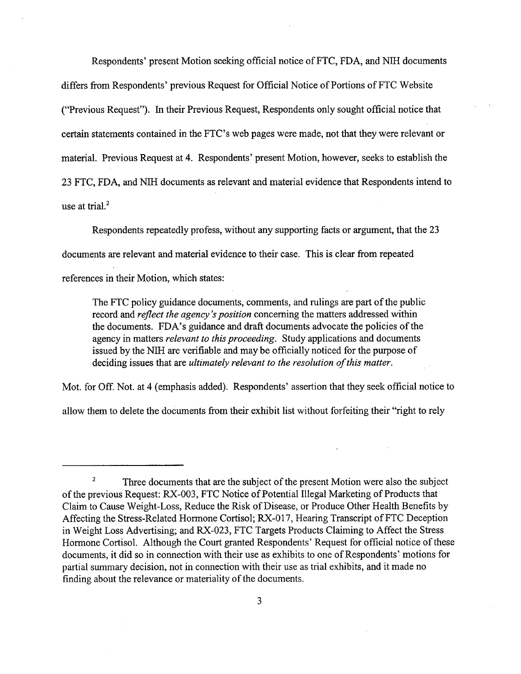Respondents' present Motion seeking official notice of FTC, FDA, and NIH documents differs from Respondents' previous Request for Official Notice of Portions of FTC Website ("Previous Request"). In their Previous Request, Respondents only sought offcial notice that certain statements contained in the FTC's web pages were made, not that they were relevant or materiaL. Previous Request at 4. Respondents' present Motion, however, seeks to establish the 23 FTC, FDA, and Nll documents as relevant and material evidence that Respondents intend to use at trial. $<sup>2</sup>$ </sup>

Respondents repeatedly profess, without any supporting facts or argument, that the 23 documents are relevant and material evidence to their case. This is clear from repeated references in their Motion, which states:

The FTC policy guidance documents, comments, and rulings are part of the public record and *reflect the agency's position* concerning the matters addressed within the documents. FDA's guidance and draft documents advocate the policies of the agency in matters relevant to this proceeding. Study applications and documents issued by the NIH are verifiable and may be officially noticed for the purpose of deciding issues that are ultimately relevant to the resolution of this matter.

Mot. for Off. Not. at 4 (emphasis added). Respondents' assertion that they seek official notice to

allow them to delete the documents from their exhibit list without forfeiting their "right to rely

<sup>&</sup>lt;sup>2</sup> Three documents that are the subject of the present Motion were also the subject of the previous Request: RX-003, FTC Notice of Potential Ilegal Marketing of Products that Claim to Cause Weight-Loss, Reduce the Risk of Disease, or Produce Other Health Benefits by Affecting the Stress-Related Hormone Cortisol; RX-017, Hearing Transcript of FTC Deception in Weight Loss Advertising; and RX-023, FTC Targets Products Claiming to Affect the Stress Hormone CortisoL. Although the Court granted Respondents' Request for official notice of these documents, it did so in connection with their use as exhibits to one of Respondents' motions for partial summary decision, not in connection with their use as trial exhibits, and it made no finding about the relevance or materiality of the documents.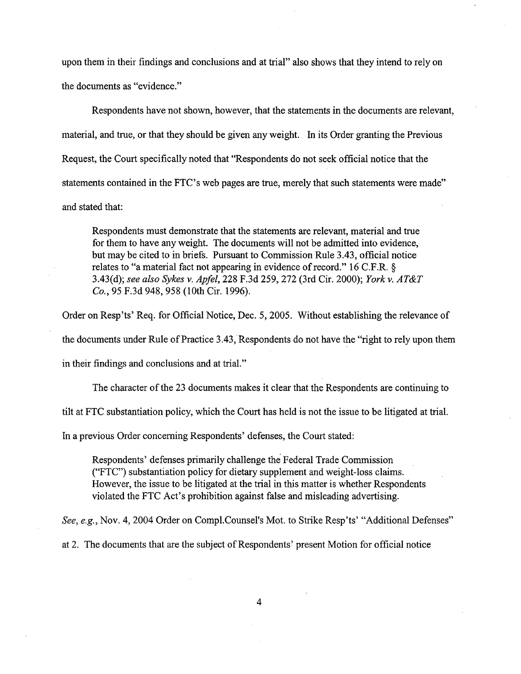upon them in their findings and conclusions and at trial" also shows that they intend to rely on the documents as "evidence."

Respondents have not shown, however, that the statements in the documents are relevant, material, and true, or that they should be given any weight. In its Order granting the Previous Request, the Court specifically noted that "Respondents do not seek official notice that the statements contained in the FTC's web pages are true, merely that such statements were made" and stated that:

Respondents must demonstrate that the statements are relevant, material and true for them to have any weight. The documents will not be admitted into evidence, but may be cited to in briefs. Pursuant to Commission Rule 3.43, official notice relates to "a material fact not appearing in evidence of record." 16 C.F.R. § 3.43(d); see also Sykes v. Apfel, 228 F.3d 259, 272 (3rd Cir. 2000); York v. AT&T Co., 95 F.3d 948, 958 (lOth Cir. 1996).

Order on Resp'ts' Req. for Official Notice, Dec. 5, 2005. Without establishing the relevance of the documents under Rule of Practice 3.43, Respondents do not have the "right to rely upon them

in their findings and conclusions and at triaL."

The character of the 23 documents makes it clear that the Respondents are continuing to

tilt at FTC substantiation policy, which the Cour has held is not the issue to be litigated at triaL.

In a previous Order concerning Respondents' defenses, the Court stated:

Respondents' defenses primarly challenge the Federal Trade Commission ("FTC") substantiation policy for dietary supplement and weight-loss claims. However, the issue to be litigated at the trial in this matter is whether Respondents violated the FTC Act's prohibition against false and misleading advertising.

See, e.g., Nov. 4, 2004 Order on Compl.Counsel's Mot. to Strike Resp'ts' "Additional Defenses"

at 2. The documents that are the subject of Respondents' present Motion for offcial notice

4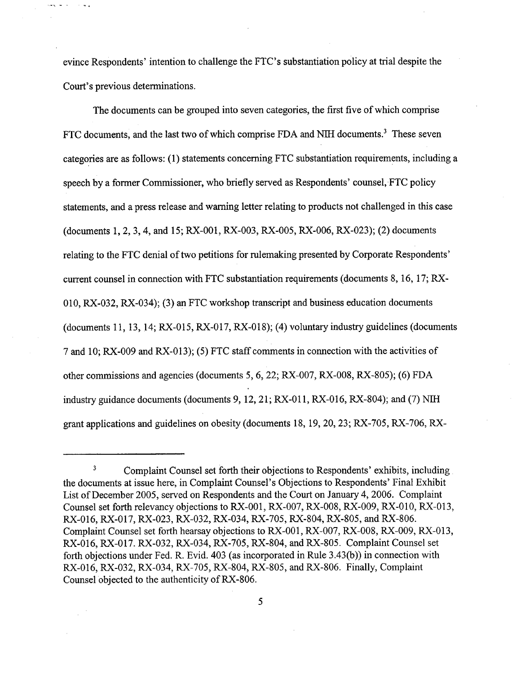evince Respondents' intention to challenge the FTC's substantiation policy at trial despite the Court's previous determinations.

sea le con

 $\sim$  19  $\,$  4  $\,$ 

The documents can be grouped into seven categories, the first five of which comprise FTC documents, and the last two of which comprise FDA and NIH documents.<sup>3</sup> These seven categories are as follows: (1) statements concerning FTC substantiation requirements, including a speech by a former Commissioner, who briefly served as Respondents' counsel, FTC policy statements, and a press release and warning letter relating to products not challenged in this case (documents 1,2,3,4, and 15; RX-001, RX-003, RX-005, RX-006, RX-023); (2) documents relating to the FTC denial of two petitions for rulemaking presented by Corporate Respondents' curent counsel in connection with FTC substantiation requirements (documents 8, 16, 17; RX-010, RX-032, RX-034); (3) an FTC workshop transcript and business education documents (documents 11, 13, 14; RX-015, RX-017, RX-018); (4) voluntary industry guidelines (documents 7 and 10; RX-009 and RX-013); (5) FTC staff comments in connection with the activities of other commissions and agencies (documents 5, 6,22; RX-007, RX-008, RX-805); (6) FDA industry guidance documents (documents 9, 12, 21; RX-011, RX-016, RX-804); and (7) NIH grant applications and guidelines on obesity (documents 18,19,20,23; RX-705, RX-706, RX-

<sup>&</sup>lt;sup>3</sup> Complaint Counsel set forth their objections to Respondents' exhibits, including the documents at issue here, in Complaint Counsel's Objections to Respondents' Final Exhibit List of December 2005, served on Respondents and the Court on January 4, 2006. Complaint Counsel set forth relevancy objections to RX-001, RX-007, RX-008, RX-009, RX-010, RX-013, RX-016, RX-017, RX-023, RX-032, RX-034, RX-705, RX-804, RX-805, and RX-806. Complaint Counsel set forth hearsay objections to RX-001, RX-007, RX-008, RX-009, RX-013, RX-016, RX-017. RX-032, RX-034, RX-705, RX-804, and RX-805. Complaint Counsel set forth objections under Fed. R. Evid. 403 (as incorporated in Rule 3.43(b)) in connection with RX-016, RX-032, RX-034, RX-705, RX-804, RX-805, and RX-806. Finally, Complaint Counsel objected to the authenticity ofRX-806.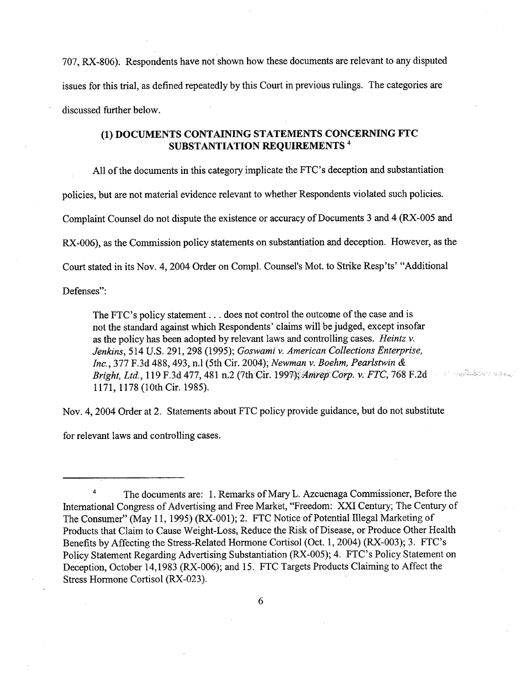707, RX-806). Respondents have not shown how these documents are relevant to any disputed issues for this trial, as defined repeatedly by this Court in previous rulings. The categories are discussed further below.

# (1) DOCUMENTS CONTAINING STATEMENTS CONCERNING FTC SUBSTANTIATION REQUIREMENTS 4

All of the documents in this category implicate the FTC's deception and substantiation policies, but are not material evidence relevant to whether Respondents violated such policies. Complaint Counsel do not dispute the existence or accuracy of Documents 3 and 4 (RX-005 and RX-006), as the Commission policy statements on substantiation and deception. However, as the Court stated in its Nov. 4, 2004 Order on Compl. Counsel's Mot. to Strike Resp'ts' "Additional

Defenses":

The FTC's policy statement. . . does not control the outcome of the case and is not the standard against which Respondents' claims will be judged, except insofar as the policy has been adopted by relevant laws and controlling cases. Heintz  $\nu$ . Jenkins, 514 U.S. 291, 298 (1995); Goswami v. American Collections Enterprise, Inc., 377 F.3d 488, 493, n.1 (5th Cir. 2004); Newman v. Boehm, Pearlstwin & Bright, Ltd., 119 F.3d 477, 481 n.2 (7th Cir. 1997); Amrep Corp. v. FTC, 768 F.2d 1171, 1178 (10th Cir. 1985).

Nov. 4, 2004 Order at 2. Statements about FTC policy provide guidance, but dò not substitute

for relevant laws and controlling cases.

<sup>&</sup>lt;sup>4</sup> The documents are: 1. Remarks of Mary L. Azcuenaga Commissioner, Before the International Congress of Advertising and Free Market, "Freedom: XXI Century; The Century of The Consumer" (May 11, 1995) (RX-001); 2. FTC Notice of Potential Ilegal Marketing of Products that Claim to Cause Weight-Loss, Reduce the Risk of Disease, or Produce Other Health Benefits by Affecting the Stress-Related Hormone Cortisol (Oct. 1,2004) (RX-003); 3. FTC's Policy Statement Regarding Advertising Substantiation (RX-005); 4. FTC's Policy Statement on Deception, October 14,1983 (RX-006); and 15. FTC Targets Products Claiming to Affect the Stress Hormone Cortisol (RX-023).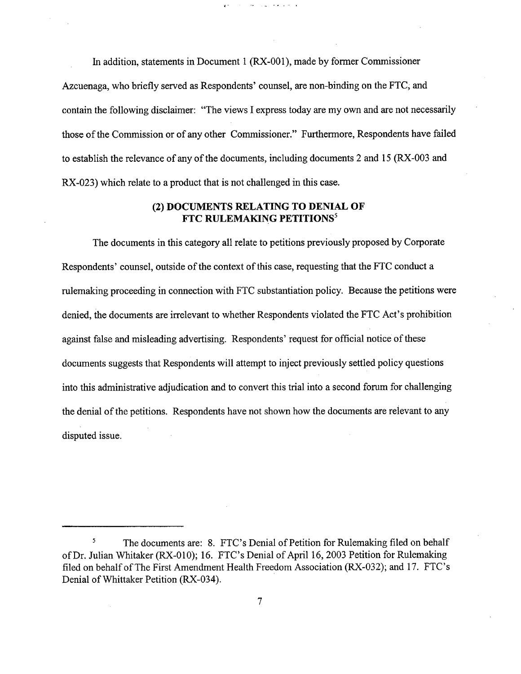In addition, statements in Document 1 (RX-001), made by former Commissioner Azcuenaga, who briefly served as Respondents' counsel, are non-binding on the FTC, and contain the following disclaimer: "The views I express today are my own and are not necessarly those of the Commission or of any other Commissioner." Furthermore, Respondents have failed to establish the relevance of any of the documents, including documents 2 and 15 (RX -003 and RX-023) which relate to a product that is not challenged in this case.

 $\sigma$  , and  $\sigma$  , and  $\sigma$ 

 $\sim 10^{-11}$ 

# (2) DOCUMENTS RELATING TO DENIAL OF FTC RULEMAKING PETITIONS<sup>5</sup>

The documents in this category all relate to petitions previously proposed by Corporate Respondents' counsel, outside of the context of this case, requesting that the FTC conduct a rulemaking proceeding in connection with FTC substantiation policy. Because the petitions were denied, the documents are irrelevant to whether Respondents violated the FTC Act's prohibition against false and misleading advertising. Respondents' request for official notice of these documents suggests that Respondents will attempt to inject previously settled policy questions into this administrative adjudication and to convert this trial into a second forum for challenging the denial of the petitions. Respondents have not shown how the documents are relevant to any disputed issue.

<sup>&</sup>lt;sup>5</sup> The documents are: 8. FTC's Denial of Petition for Rulemaking filed on behalf of Dr. Julian Whitaker (RX-010); 16. FTC's Denial of April 16,2003 Petition for Rulemaking fied on behalf of The First Amendment Health Freedom Association (RX-032); and 17. FTC's Denial of Whittaker Petition (RX-034).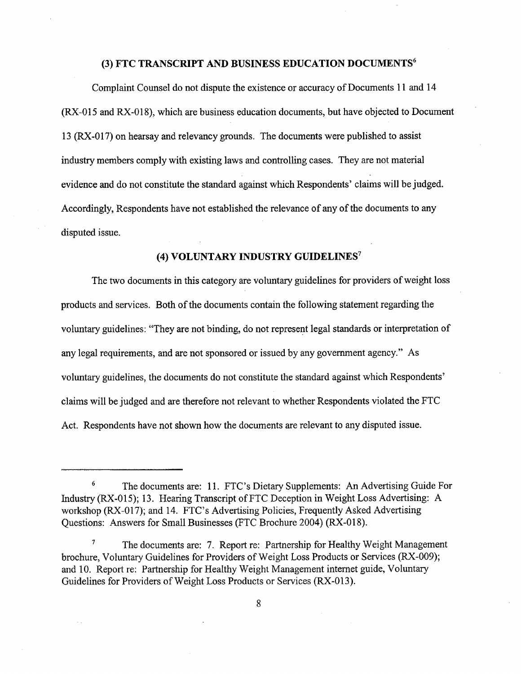# (3) FTC TRANSCRIPT AND BUSINESS EDUCATION DOCUMENTS6

Complaint Counsel do not dispute the existence or accuracy of Documents i 1 and 14 (RX-015 and RX-018), which are business education documents, but have objected to Document 13 (RX-017) on hearsay and relevancy grounds. The documents were published to assist industry members comply with existing laws and controllng cases. They are not material evidence and do not constitute the standard against which Respondents' claims will be judged. Accordingly, Respondents have not established the relevance of any of the documents to any disputed issue.

## (4) VOLUNTARY INDUSTRY GUIDELINES?

The two documents in this category are voluntary guidelines for providers of weight loss products and services. Both of the documents contain the following statement regarding the voluntary guidelines: "They are not binding, do not represent legal standards or interpretation of any legal requirements, and are not sponsored or issued by any government agency." As voluntary guidelines, the documents do not constitute the standard against which Respondents' claims wil be judged and are therefore not relevant to whether Respondents violated the FTC Act. Respondents have not shown how the documents are relevant to any disputed issue.

<sup>&</sup>lt;sup>6</sup> The documents are: 11. FTC's Dietary Supplements: An Advertising Guide For Industry (RX-015); 13. Hearing Transcript of FTC Deception in Weight Loss Advertising: A workshop (RX-017); and 14. FTC's Advertising Policies, Frequently Asked Advertising Questions: Answers for Small Businesses (FTC Brochure 2004) (RX-018).

<sup>&</sup>lt;sup>7</sup> The documents are: 7. Report re: Partnership for Healthy Weight Management brochure, Voluntary Guidelines for Providers of Weight Loss Products or Services (RX-009); and 10. Report re: Partnership for Healthy Weight Management internet guide, Voluntary Guidelines for Providers of Weight Loss Products or Services (RX-013).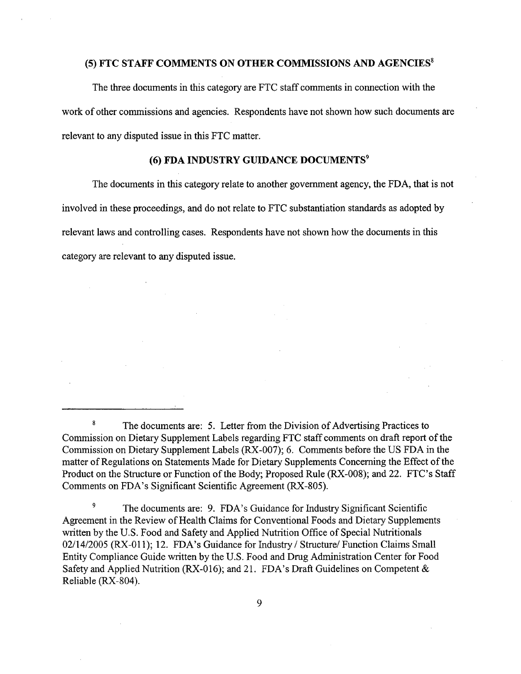## (5) FTC STAFF COMMENTS ON OTHER COMMISSIONS AND AGENCIES<sup>8</sup>

The three documents in this category are FTC staff comments in connection with the work of other commissions and agencies. Respondents have not shown how such documents are relevant to any disputed issue in this FTC matter.

# (6) FDA INDUSTRY GUIDANCE DOCUMENTS9

The documents in this category relate to another government agency, the FDA, that is not involved in these proceedings, and do not relate to FTC substantiation standards as adopted by relevant laws and controlling cases. Respondents have not shown how the documents in this category are relevant to any disputed issue.

<sup>9</sup> The documents are: 9. FDA's Guidance for Industry Significant Scientific Agreement in the Review of Health Claims for Conventional Foods and Dietary Supplements written by the U.S. Food and Safety and Applied Nutrition Office of Special Nutritionals 02/14/2005 (RX-011); 12. FDA's Guidance for Industry / Structure/ Function Claims Small Entity Compliance Guide wrtten by the U.S. Food and Drug Administration Center for Food Safety and Applied Nutrition (RX-016); and 21. FDA's Draft Guidelines on Competent & Reliable (RX-804).

<sup>&</sup>lt;sup>8</sup> The documents are: 5. Letter from the Division of Advertising Practices to Commission on Dietary Supplement Labels regarding FTC staff comments on draft report of the Commission on Dietary Supplement Labels (RX-007); 6. Comments before the US FDA in the matter of Regulations on Statements Made for Dietary Supplements Concerning the Effect of the Product on the Structure or Function of the Body; Proposed Rule (RX-008); and 22. FTC's Staff Comments on FDA's Significant Scientific Agreement (RX-805).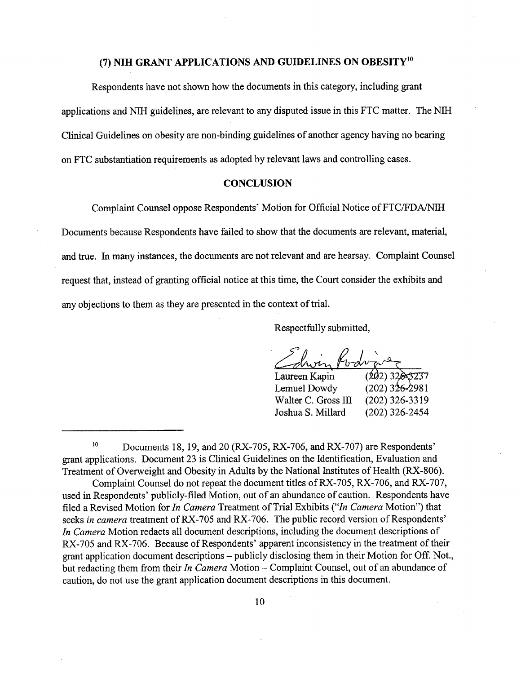# (7) NIH GRANT APPLICATIONS AND GUIDELINES ON OBESITY<sup>10</sup>

Respondents have not shown how the documents in this category, including grant applications and NIH guidelines, are relevant to any disputed issue in this FTC matter. The NIH Clinical Guidelines on obesity are non-binding guidelines of another agency having no bearing on FTC substantiation requirements as adopted by relevant laws and controlling cases.

## **CONCLUSION**

Complaint Counsel oppose Respondents' Motion for Official Notice of FTC/FDA/NIH

Documents because Respondents have failed to show that the documents are relevant, material, and true. In many instances, the documents are not relevant and are hearsay. Complaint Counsel request that, instead of granting official notice at this time, the Court consider the exhibits and any objections to them as they are presented in the context of triaL.

Respectfully submitted,

Laureen Kapin Lemuel Dowdy Walter C. Gross III Joshua S. Milard  $(202)32$  $(202)$  326-2981 (202) 326-3319 (202) 326-2454

<sup>&</sup>lt;sup>10</sup> Documents 18, 19, and 20 (RX-705, RX-706, and RX-707) are Respondents' grant applications. Document 23 is Clinical Guidelines on the Identification, Evaluation and Treatment of Overweight and Obesity in Adults by the National Institutes of Health (RX-806).

Complaint Counsel do not repeat the document titles ofRX-705, RX-706, and RX-707, used in Respondents' publicly-fied Motion, out of an abundance of caution. Respondents have filed a Revised Motion for *In Camera* Treatment of Trial Exhibits ("In Camera Motion") that seeks in camera treatment of RX-705 and RX-706. The public record version of Respondents' In Camera Motion redacts all document descriptions, including the document descriptions of RX-705 and RX-706. Because of Respondents' apparent inconsistency in the treatment of their grant application document descriptions - publicly disclosing them in their Motion for Off. Not., but redacting them from their In Camera Motion - Complaint Counsel, out of an abundance of caution, do not use the grant application document descriptions in this document.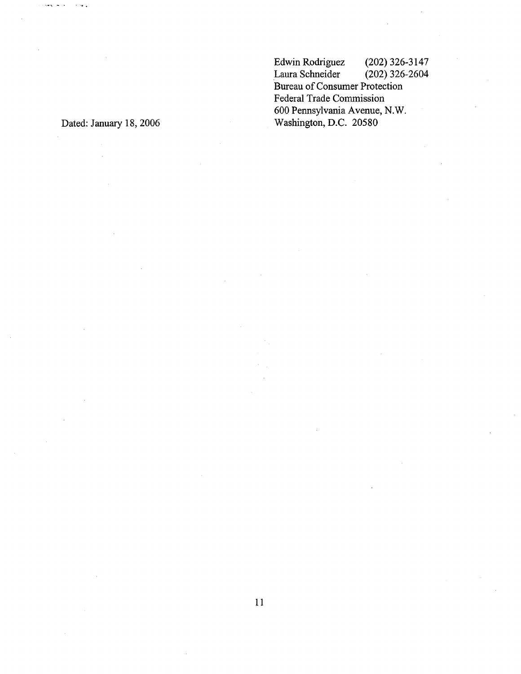Edwin Rodriguez (202) 326-3147<br>Laura Schneider (202) 326-2604 Laura Schneider Bureau of Consumer Protection Federal Trade Commission 600 Pennsylvania Avenue, N.W. Washington, D.C. 20580

Dated: January 18, 2006

 $\sim 100$  .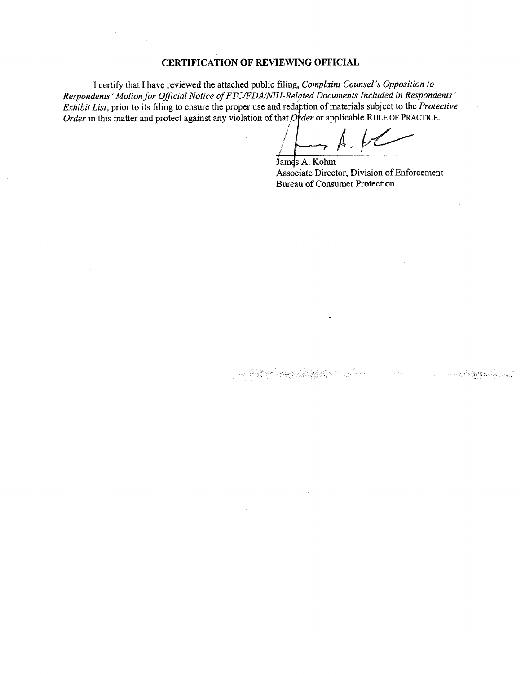## CERTIFICATION OF REVIEWING OFFICIAL

I certify that I have reviewed the attached public filing, Complaint Counsel's Opposition to Respondents' Motion for Official Notice of FTC/FDA/NIH-Related Documents Included in Respondents' Exhibit List, prior to its filing to ensure the proper use and redaction of materials subject to the Protective Respondents' Motion for Official Notice of FTC/FDA/NIH-Related Documents Included in Responds<br>Exhibit List, prior to its filing to ensure the proper use and redaction of materials subject to the Prote<br>Order in this matter

/  $\overline{1}$ 

James A. Kohm Associate Director, Division of Enforcement Bureau of Consumer Protection

Andrew March